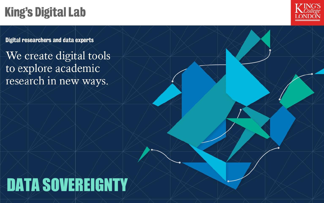# **King's Digital Lab**



**Digital researchers and data experts** 

We create digital tools to explore academic research in new ways.

# DATA SOVEREIGNTY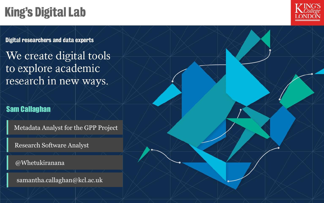# **King's Digital Lab**



**Digital researchers and data experts** 

We create digital tools to explore academic research in new ways.

### Sam Callaghan

Metadata Analyst for the GPP Project

Research Software Analyst

@Whetukiranana

samantha.callaghan@kcl.ac.uk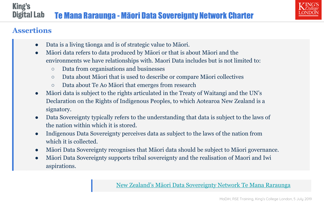

## **Assertions**

- Data is a living tāonga and is of strategic value to Māori.
- Māori data refers to data produced by Māori or that is about Māori and the environments we have relationships with. Maori Data includes but is not limited to:
	- Data from organisations and businesses
	- Data about Māori that is used to describe or compare Māori collectives
	- Data about Te Ao Māori that emerges from research
- Māori data is subject to the rights articulated in the Treaty of Waitangi and the UN's Declaration on the Rights of Indigenous Peoples, to which Aotearoa New Zealand is a signatory.
- Data Sovereignty typically refers to the understanding that data is subject to the laws of the nation within which it is stored.
- Indigenous Data Sovereignty perceives data as subject to the laws of the nation from which it is collected.
- Māori Data Sovereignty recognises that Māori data should be subject to Māori governance.
- Māori Data Sovereignty supports tribal sovereignty and the realisation of Maori and Iwi aspirations.

[New Zealand's Māori Data Sovereignty Network](https://www.temanararaunga.maori.nz/) Te Mana Raraunga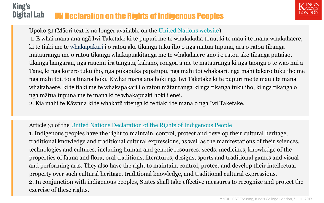#### **King's Digital Lab** UN Declaration on the Rights of Indigenous Peoples



Upoko 31 (Māori text is no longer available on the [United Nations website\)](https://www.un.org/development/desa/indigenouspeoples/declaration-on-the-rights-of-indigenous-peoples.html)

1. E whai mana ana ngā Iwi Taketake ki te pupuri me te whakakaha tonu, ki te mau i te mana whakahaere, ki te tiaki me te whakapakari i o ratou ake tikanga tuku iho o nga matua tupuna, ara o ratou tikanga mātauranga me o ratou tikanga whakapuakitanga me te whakahaere ano i o ratou ake tikanga putaiao, tikanga hangarau, ngā rauemi ira tangata, kākano, rongoa ā me te mātauranga ki nga taonga o te wao nui a Tane, ki nga korero tuku iho, nga pukapuka papatupu, nga mahi toi whakaari, nga mahi tākaro tuku iho me nga mahi toi, toi ā tinana hoki. E whai mana ana hoki nga Iwi Taketake ki te pupuri me te mau i te mana whakahaere, ki te tiaki me te whakapakari i o ratou mātauranga ki nga tikanga tuku iho, ki nga tikanga o nga mātua tupuna me te mana ki te whakapuaki hoki i enei.

2. Kia mahi te Kāwana ki te whakatü ritenga ki te tiaki i te mana o nga Iwi Taketake.

### Article 31 of the [United Nations Declaration of the Rights of Indigenous People](https://www.un.org/development/desa/indigenouspeoples/wp-content/uploads/sites/19/2018/11/UNDRIP_E_web.pdf)

1. Indigenous peoples have the right to maintain, control, protect and develop their cultural heritage, traditional knowledge and traditional cultural expressions, as well as the manifestations of their sciences, technologies and cultures, including human and genetic resources, seeds, medicines, knowledge of the properties of fauna and flora, oral traditions, literatures, designs, sports and traditional games and visual and performing arts. They also have the right to maintain, control, protect and develop their intellectual property over such cultural heritage, traditional knowledge, and traditional cultural expressions. 2. In conjunction with indigenous peoples, States shall take effective measures to recognize and protect the exercise of these rights.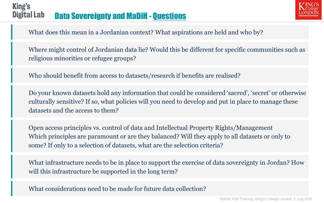#### **King's Digital Lab** Data Sovereignty and MaDiH - [Questions](https://drive.google.com/open?id=15SvXx8EfI_JPpy1GtZLFl6pArr-nIgDyBVLBhbbphQY)



What does this mean in a Jordanian context? What aspirations are held and who by?

Where might control of Jordanian data lie? Would this be different for specific communities such as religious minorities or refugee groups?

Who should benefit from access to datasets/research if benefits are realised?

Do your known datasets hold any information that could be considered 'sacred', 'secret' or otherwise culturally sensitive? If so, what policies will you need to develop and put in place to manage these datasets and the access to them?

Open access principles vs. control of data and Intellectual Property Rights/Management Which principles are paramount or are they balanced? Will they apply to all datasets or only to some? If only to a selection of datasets, what are the selection criteria?

What infrastructure needs to be in place to support the exercise of data sovereignty in Jordan? How will this infrastructure be supported in the long term?

What considerations need to be made for future data collection?